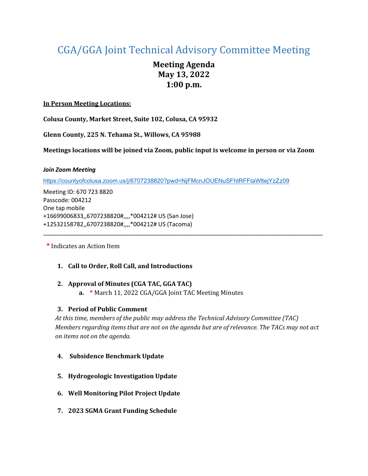# CGA/GGA Joint Technical Advisory Committee Meeting

# **Meeting Agenda May 13, 2022 1:00 p.m.**

### **In Person Meeting Locations:**

**Colusa County, Market Street, Suite 102, Colusa, CA 95932**

**Glenn County, 225 N. Tehama St., Willows, CA 95988**

**Meetings locations will be joined via Zoom, public input is welcome in person or via Zoom**

\_\_\_\_\_\_\_\_\_\_\_\_\_\_\_\_\_\_\_\_\_\_\_\_\_\_\_\_\_\_\_\_\_\_\_\_\_\_\_\_\_\_\_\_\_\_\_\_\_\_\_\_\_\_\_\_\_\_\_\_\_\_\_\_\_\_\_\_\_\_\_\_\_\_\_\_\_\_\_\_\_\_\_\_\_

#### *Join Zoom Meeting*

<https://countyofcolusa.zoom.us/j/6707238820?pwd=NjFMcnJOUENuSFhtRFFtaWltejYzZz09>

Meeting ID: 670 723 8820 Passcode: 004212 One tap mobile +16699006833,,6707238820#,,,,\*004212# US (San Jose) +12532158782,,6707238820#,,,,\*004212# US (Tacoma)

**\*** Indicates an Action Item

# **1. Call to Order, Roll Call, and Introductions**

#### **2. Approval of Minutes (CGA TAC, GGA TAC)**

**a. \*** March 11, 2022 CGA/GGA Joint TAC Meeting Minutes

# **3. Period of Public Comment**

*At this time, members of the public may address the Technical Advisory Committee (TAC) Members regarding items that are not on the agenda but are of relevance. The TACs may not act on items not on the agenda.*

#### **4. Subsidence Benchmark Update**

- **5. Hydrogeologic Investigation Update**
- **6. Well Monitoring Pilot Project Update**
- **7. 2023 SGMA Grant Funding Schedule**